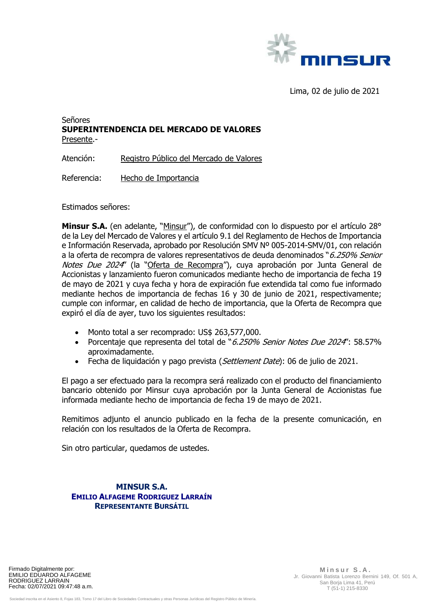

Lima, 02 de julio de 2021

## Señores **SUPERINTENDENCIA DEL MERCADO DE VALORES**  Presente.-

Atención: Registro Público del Mercado de Valores

Referencia: Hecho de Importancia

Estimados señores:

**Minsur S.A.** (en adelante, "Minsur"), de conformidad con lo dispuesto por el artículo 28° de la Ley del Mercado de Valores y el artículo 9.1 del Reglamento de Hechos de Importancia e Información Reservada, aprobado por Resolución SMV Nº 005-2014-SMV/01, con relación a la oferta de recompra de valores representativos de deuda denominados "6.250% Senior Notes Due 2024" (la "Oferta de Recompra"), cuya aprobación por Junta General de Accionistas y lanzamiento fueron comunicados mediante hecho de importancia de fecha 19 de mayo de 2021 y cuya fecha y hora de expiración fue extendida tal como fue informado mediante hechos de importancia de fechas 16 y 30 de junio de 2021, respectivamente; cumple con informar, en calidad de hecho de importancia, que la Oferta de Recompra que expiró el día de ayer, tuvo los siguientes resultados:

- Monto total a ser recomprado: US\$ 263,577,000.
- Porcentaje que representa del total de "6.250% Senior Notes Due 2024": 58.57% aproximadamente.
- Fecha de liquidación y pago prevista (Settlement Date): 06 de julio de 2021.

El pago a ser efectuado para la recompra será realizado con el producto del financiamiento bancario obtenido por Minsur cuya aprobación por la Junta General de Accionistas fue informada mediante hecho de importancia de fecha 19 de mayo de 2021.

Remitimos adjunto el anuncio publicado en la fecha de la presente comunicación, en relación con los resultados de la Oferta de Recompra.

Sin otro particular, quedamos de ustedes.

## **MINSUR S.A. EMILIO ALFAGEME RODRIGUEZ LARRAÍN REPRESENTANTE BURSÁTIL**

Firmado Digitalmente por: EMILIO EDUARDO ALFAGEME RODRIGUEZ LARRAIN Fecha: 02/07/2021 09:47:48 a.m.